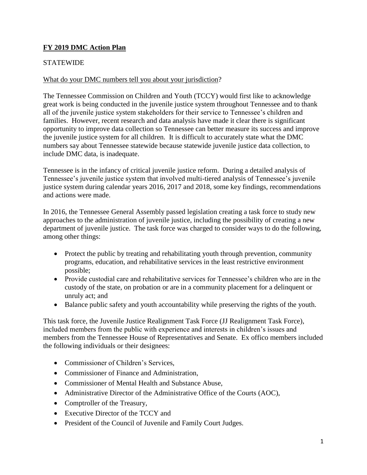# **FY 2019 DMC Action Plan**

# **STATEWIDE**

#### What do your DMC numbers tell you about your jurisdiction?

 The Tennessee Commission on Children and Youth (TCCY) would first like to acknowledge great work is being conducted in the juvenile justice system throughout Tennessee and to thank families. However, recent research and data analysis have made it clear there is significant opportunity to improve data collection so Tennessee can better measure its success and improve all of the juvenile justice system stakeholders for their service to Tennessee's children and the juvenile justice system for all children. It is difficult to accurately state what the DMC numbers say about Tennessee statewide because statewide juvenile justice data collection, to include DMC data, is inadequate.

 and actions were made. Tennessee is in the infancy of critical juvenile justice reform. During a detailed analysis of Tennessee's juvenile justice system that involved multi-tiered analysis of Tennessee's juvenile justice system during calendar years 2016, 2017 and 2018, some key findings, recommendations

 approaches to the administration of juvenile justice, including the possibility of creating a new In 2016, the Tennessee General Assembly passed legislation creating a task force to study new department of juvenile justice. The task force was charged to consider ways to do the following, among other things:

- Protect the public by treating and rehabilitating youth through prevention, community programs, education, and rehabilitative services in the least restrictive environment possible;
- Provide custodial care and rehabilitative services for Tennessee's children who are in the custody of the state, on probation or are in a community placement for a delinquent or unruly act; and
- Balance public safety and youth accountability while preserving the rights of the youth.

This task force, the Juvenile Justice Realignment Task Force (JJ Realignment Task Force), included members from the public with experience and interests in children's issues and members from the Tennessee House of Representatives and Senate. Ex offico members included the following individuals or their designees:

- Commissioner of Children's Services,
- Commissioner of Finance and Administration,
- Commissioner of Mental Health and Substance Abuse,
- Administrative Director of the Administrative Office of the Courts (AOC),
- Comptroller of the Treasury,
- Executive Director of the TCCY and
- President of the Council of Juvenile and Family Court Judges.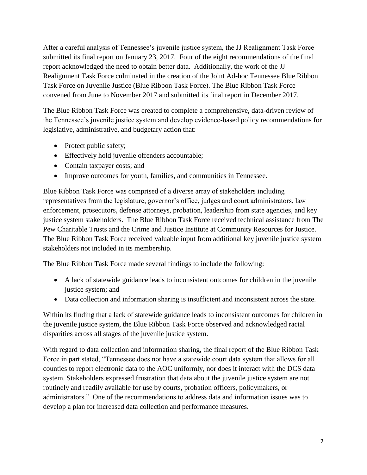report acknowledged the need to obtain better data. Additionally, the work of the JJ Task Force on Juvenile Justice (Blue Ribbon Task Force). The Blue Ribbon Task Force After a careful analysis of Tennessee's juvenile justice system, the JJ Realignment Task Force submitted its final report on January 23, 2017. Four of the eight recommendations of the final Realignment Task Force culminated in the creation of the Joint Ad-hoc Tennessee Blue Ribbon convened from June to November 2017 and submitted its final report in December 2017.

 legislative, administrative, and budgetary action that: The Blue Ribbon Task Force was created to complete a comprehensive, data-driven review of the Tennessee's juvenile justice system and develop evidence-based policy recommendations for

- Protect public safety;
- Effectively hold juvenile offenders accountable;
- Contain taxpayer costs; and
- Improve outcomes for youth, families, and communities in Tennessee.

 justice system stakeholders. The Blue Ribbon Task Force received technical assistance from The Blue Ribbon Task Force was comprised of a diverse array of stakeholders including representatives from the legislature, governor's office, judges and court administrators, law enforcement, prosecutors, defense attorneys, probation, leadership from state agencies, and key Pew Charitable Trusts and the Crime and Justice Institute at Community Resources for Justice. The Blue Ribbon Task Force received valuable input from additional key juvenile justice system stakeholders not included in its membership.

The Blue Ribbon Task Force made several findings to include the following:

- A lack of statewide guidance leads to inconsistent outcomes for children in the juvenile justice system; and
- Data collection and information sharing is insufficient and inconsistent across the state.

 disparities across all stages of the juvenile justice system. Within its finding that a lack of statewide guidance leads to inconsistent outcomes for children in the juvenile justice system, the Blue Ribbon Task Force observed and acknowledged racial

 administrators." One of the recommendations to address data and information issues was to With regard to data collection and information sharing, the final report of the Blue Ribbon Task Force in part stated, "Tennessee does not have a statewide court data system that allows for all counties to report electronic data to the AOC uniformly, nor does it interact with the DCS data system. Stakeholders expressed frustration that data about the juvenile justice system are not routinely and readily available for use by courts, probation officers, policymakers, or develop a plan for increased data collection and performance measures.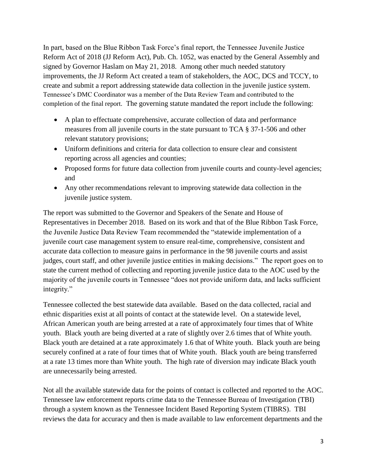In part, based on the Blue Ribbon Task Force's final report, the Tennessee Juvenile Justice create and submit a report addressing statewide data collection in the juvenile justice system. completion of the final report. The governing statute mandated the report include the following: Reform Act of 2018 (JJ Reform Act), Pub. Ch. 1052, was enacted by the General Assembly and signed by Governor Haslam on May 21, 2018. Among other much needed statutory improvements, the JJ Reform Act created a team of stakeholders, the AOC, DCS and TCCY, to Tennessee's DMC Coordinator was a member of the Data Review Team and contributed to the

- A plan to effectuate comprehensive, accurate collection of data and performance measures from all juvenile courts in the state pursuant to TCA § 37-1-506 and other relevant statutory provisions;
- Uniform definitions and criteria for data collection to ensure clear and consistent reporting across all agencies and counties;
- Proposed forms for future data collection from juvenile courts and county-level agencies; and
- Any other recommendations relevant to improving statewide data collection in the juvenile justice system.

 integrity." The report was submitted to the Governor and Speakers of the Senate and House of Representatives in December 2018. Based on its work and that of the Blue Ribbon Task Force, the Juvenile Justice Data Review Team recommended the "statewide implementation of a juvenile court case management system to ensure real-time, comprehensive, consistent and accurate data collection to measure gains in performance in the 98 juvenile courts and assist judges, court staff, and other juvenile justice entities in making decisions." The report goes on to state the current method of collecting and reporting juvenile justice data to the AOC used by the majority of the juvenile courts in Tennessee "does not provide uniform data, and lacks sufficient

 at a rate 13 times more than White youth. The high rate of diversion may indicate Black youth Tennessee collected the best statewide data available. Based on the data collected, racial and ethnic disparities exist at all points of contact at the statewide level. On a statewide level, African American youth are being arrested at a rate of approximately four times that of White youth. Black youth are being diverted at a rate of slightly over 2.6 times that of White youth. Black youth are detained at a rate approximately 1.6 that of White youth. Black youth are being securely confined at a rate of four times that of White youth. Black youth are being transferred are unnecessarily being arrested.

Not all the available statewide data for the points of contact is collected and reported to the AOC. Tennessee law enforcement reports crime data to the Tennessee Bureau of Investigation (TBI) through a system known as the Tennessee Incident Based Reporting System (TIBRS). TBI reviews the data for accuracy and then is made available to law enforcement departments and the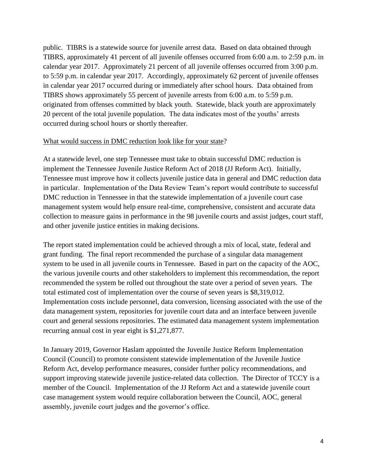20 percent of the total juvenile population. The data indicates most of the youths' arrests occurred during school hours or shortly thereafter. public. TIBRS is a statewide source for juvenile arrest data. Based on data obtained through TIBRS, approximately 41 percent of all juvenile offenses occurred from 6:00 a.m. to 2:59 p.m. in calendar year 2017. Approximately 21 percent of all juvenile offenses occurred from 3:00 p.m. to 5:59 p.m. in calendar year 2017. Accordingly, approximately 62 percent of juvenile offenses in calendar year 2017 occurred during or immediately after school hours. Data obtained from TIBRS shows approximately 55 percent of juvenile arrests from 6:00 a.m. to 5:59 p.m. originated from offenses committed by black youth. Statewide, black youth are approximately

# occurred during school hours or shortly thereafter.<br>What would success in DMC reduction look like for your state?

At a statewide level, one step Tennessee must take to obtain successful DMC reduction is implement the Tennessee Juvenile Justice Reform Act of 2018 (JJ Reform Act). Initially, Tennessee must improve how it collects juvenile justice data in general and DMC reduction data in particular. Implementation of the Data Review Team's report would contribute to successful DMC reduction in Tennessee in that the statewide implementation of a juvenile court case management system would help ensure real-time, comprehensive, consistent and accurate data collection to measure gains in performance in the 98 juvenile courts and assist judges, court staff, and other juvenile justice entities in making decisions.

 grant funding. The final report recommended the purchase of a singular data management The report stated implementation could be achieved through a mix of local, state, federal and system to be used in all juvenile courts in Tennessee. Based in part on the capacity of the AOC, the various juvenile courts and other stakeholders to implement this recommendation, the report recommended the system be rolled out throughout the state over a period of seven years. The total estimated cost of implementation over the course of seven years is \$8,319,012. Implementation costs include personnel, data conversion, licensing associated with the use of the data management system, repositories for juvenile court data and an interface between juvenile court and general sessions repositories. The estimated data management system implementation recurring annual cost in year eight is \$1,271,877.

 support improving statewide juvenile justice-related data collection. The Director of TCCY is a member of the Council. Implementation of the JJ Reform Act and a statewide juvenile court In January 2019, Governor Haslam appointed the Juvenile Justice Reform Implementation Council (Council) to promote consistent statewide implementation of the Juvenile Justice Reform Act, develop performance measures, consider further policy recommendations, and case management system would require collaboration between the Council, AOC, general assembly, juvenile court judges and the governor's office.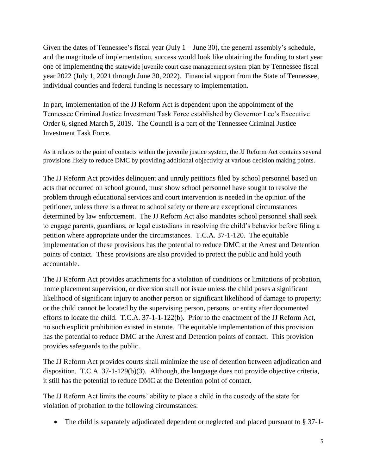Given the dates of Tennessee's fiscal year (July  $1 -$  June 30), the general assembly's schedule, and the magnitude of implementation, success would look like obtaining the funding to start year one of implementing the statewide juvenile court case management system plan by Tennessee fiscal year 2022 (July 1, 2021 through June 30, 2022). Financial support from the State of Tennessee, individual counties and federal funding is necessary to implementation.

**Investment Task Force.** In part, implementation of the JJ Reform Act is dependent upon the appointment of the Tennessee Criminal Justice Investment Task Force established by Governor Lee's Executive Order 6, signed March 5, 2019. The Council is a part of the Tennessee Criminal Justice

Investment Task Force.<br>As it relates to the point of contacts within the juvenile justice system, the JJ Reform Act contains several provisions likely to reduce DMC by providing additional objectivity at various decision making points.

 petitioner, unless there is a threat to school safety or there are exceptional circumstances petition where appropriate under the circumstances. T.C.A. 37-1-120. The equitable points of contact. These provisions are also provided to protect the public and hold youth The JJ Reform Act provides delinquent and unruly petitions filed by school personnel based on acts that occurred on school ground, must show school personnel have sought to resolve the problem through educational services and court intervention is needed in the opinion of the determined by law enforcement. The JJ Reform Act also mandates school personnel shall seek to engage parents, guardians, or legal custodians in resolving the child's behavior before filing a implementation of these provisions has the potential to reduce DMC at the Arrest and Detention accountable.

 or the child cannot be located by the supervising person, persons, or entity after documented has the potential to reduce DMC at the Arrest and Detention points of contact. This provision The JJ Reform Act provides attachments for a violation of conditions or limitations of probation, home placement supervision, or diversion shall not issue unless the child poses a significant likelihood of significant injury to another person or significant likelihood of damage to property; efforts to locate the child. T.C.A. 37-1-1-122(b). Prior to the enactment of the JJ Reform Act, no such explicit prohibition existed in statute. The equitable implementation of this provision provides safeguards to the public.

The JJ Reform Act provides courts shall minimize the use of detention between adjudication and disposition. T.C.A. 37-1-129(b)(3). Although, the language does not provide objective criteria, it still has the potential to reduce DMC at the Detention point of contact.

The JJ Reform Act limits the courts' ability to place a child in the custody of the state for violation of probation to the following circumstances:

• The child is separately adjudicated dependent or neglected and placed pursuant to § 37-1-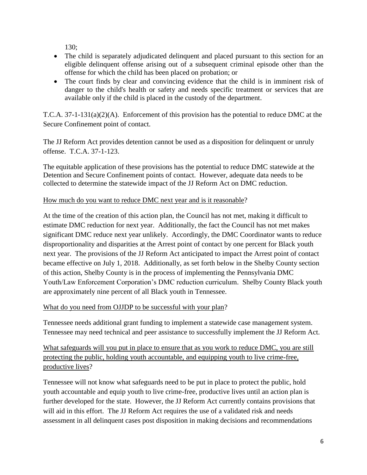130;

- The child is separately adjudicated delinquent and placed pursuant to this section for an eligible delinquent offense arising out of a subsequent criminal episode other than the offense for which the child has been placed on probation; or
- The court finds by clear and convincing evidence that the child is in imminent risk of danger to the child's health or safety and needs specific treatment or services that are available only if the child is placed in the custody of the department.

T.C.A. 37-1-131(a)(2)(A). Enforcement of this provision has the potential to reduce DMC at the Secure Confinement point of contact.

The JJ Reform Act provides detention cannot be used as a disposition for delinquent or unruly offense. T.C.A. 37-1-123.

 The equitable application of these provisions has the potential to reduce DMC statewide at the Detention and Secure Confinement points of contact. However, adequate data needs to be collected to determine the statewide impact of the JJ Reform Act on DMC reduction.

# How much do you want to reduce DMC next year and is it reasonable?

 estimate DMC reduction for next year. Additionally, the fact the Council has not met makes disproportionality and disparities at the Arrest point of contact by one percent for Black youth At the time of the creation of this action plan, the Council has not met, making it difficult to significant DMC reduce next year unlikely. Accordingly, the DMC Coordinator wants to reduce next year. The provisions of the JJ Reform Act anticipated to impact the Arrest point of contact became effective on July 1, 2018. Additionally, as set forth below in the Shelby County section of this action, Shelby County is in the process of implementing the Pennsylvania DMC Youth/Law Enforcement Corporation's DMC reduction curriculum. Shelby County Black youth are approximately nine percent of all Black youth in Tennessee.

# What do you need from OJJDP to be successful with your plan?

Tennessee needs additional grant funding to implement a statewide case management system. Tennessee may need technical and peer assistance to successfully implement the JJ Reform Act.

What safeguards will you put in place to ensure that as you work to reduce DMC, you are still protecting the public, holding youth accountable, and equipping youth to live crime-free, productive lives?

Tennessee will not know what safeguards need to be put in place to protect the public, hold youth accountable and equip youth to live crime-free, productive lives until an action plan is further developed for the state. However, the JJ Reform Act currently contains provisions that will aid in this effort. The JJ Reform Act requires the use of a validated risk and needs assessment in all delinquent cases post disposition in making decisions and recommendations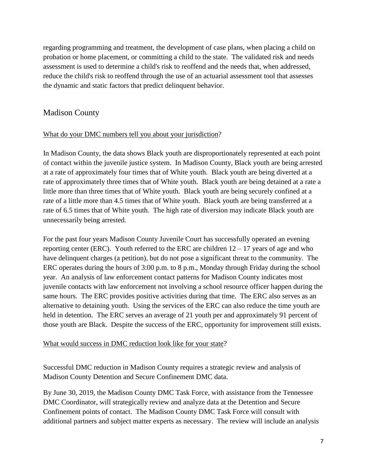regarding programming and treatment, the development of case plans, when placing a child on probation or home placement, or committing a child to the state. The validated risk and needs assessment is used to determine a child's risk to reoffend and the needs that, when addressed, reduce the child's risk to reoffend through the use of an actuarial assessment tool that assesses the dynamic and static factors that predict delinquent behavior.

# Madison County

# What do your DMC numbers tell you about your jurisdiction?

 rate of 6.5 times that of White youth. The high rate of diversion may indicate Black youth are unnecessarily being arrested. In Madison County, the data shows Black youth are disproportionately represented at each point of contact within the juvenile justice system. In Madison County, Black youth are being arrested at a rate of approximately four times that of White youth. Black youth are being diverted at a rate of approximately three times that of White youth. Black youth are being detained at a rate a little more than three times that of White youth. Black youth are being securely confined at a rate of a little more than 4.5 times that of White youth. Black youth are being transferred at a

reporting center (ERC). Youth referred to the ERC are children  $12 - 17$  years of age and who alternative to detaining youth. Using the services of the ERC can also reduce the time youth are For the past four years Madison County Juvenile Court has successfully operated an evening have delinquent charges (a petition), but do not pose a significant threat to the community. The ERC operates during the hours of 3:00 p.m. to 8 p.m., Monday through Friday during the school year. An analysis of law enforcement contact patterns for Madison County indicates most juvenile contacts with law enforcement not involving a school resource officer happen during the same hours. The ERC provides positive activities during that time. The ERC also serves as an held in detention. The ERC serves an average of 21 youth per and approximately 91 percent of those youth are Black. Despite the success of the ERC, opportunity for improvement still exists.

#### What would success in DMC reduction look like for your state?

 Successful DMC reduction in Madison County requires a strategic review and analysis of Madison County Detention and Secure Confinement DMC data.

 By June 30, 2019, the Madison County DMC Task Force, with assistance from the Tennessee DMC Coordinator, will strategically review and analyze data at the Detention and Secure Confinement points of contact. The Madison County DMC Task Force will consult with additional partners and subject matter experts as necessary. The review will include an analysis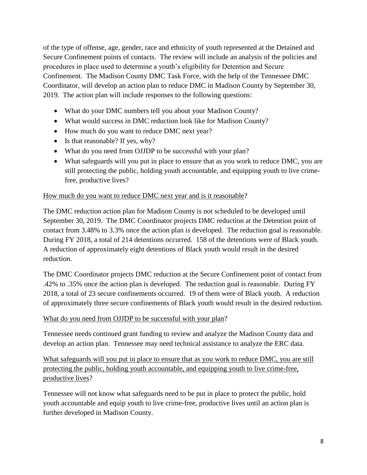of the type of offense, age, gender, race and ethnicity of youth represented at the Detained and Secure Confinement points of contacts. The review will include an analysis of the policies and procedures in place used to determine a youth's eligibility for Detention and Secure Confinement. The Madison County DMC Task Force, with the help of the Tennessee DMC Coordinator, will develop an action plan to reduce DMC in Madison County by September 30, 2019. The action plan will include responses to the following questions:

- What do your DMC numbers tell you about your Madison County?
- What would success in DMC reduction look like for Madison County?
- How much do you want to reduce DMC next year?
- Is that reasonable? If yes, why?
- What do you need from OJJDP to be successful with your plan?
- What safeguards will you put in place to ensure that as you work to reduce DMC, you are still protecting the public, holding youth accountable, and equipping youth to live crimefree, productive lives?

#### How much do you want to reduce DMC next year and is it reasonable?

 September 30, 2019. The DMC Coordinator projects DMC reduction at the Detention point of The DMC reduction action plan for Madison County is not scheduled to be developed until contact from 3.48% to 3.3% once the action plan is developed. The reduction goal is reasonable. During FY 2018, a total of 214 detentions occurred. 158 of the detentions were of Black youth. A reduction of approximately eight detentions of Black youth would result in the desired reduction.

of approximately three secure confinements of Black youth would result in the desired reduction.<br>What do you need from OJJDP to be successful with your plan? The DMC Coordinator projects DMC reduction at the Secure Confinement point of contact from .42% to .35% once the action plan is developed. The reduction goal is reasonable. During FY 2018, a total of 23 secure confinements occurred. 19 of them were of Black youth. A reduction

Tennessee needs continued grant funding to review and analyze the Madison County data and develop an action plan. Tennessee may need technical assistance to analyze the ERC data.

What safeguards will you put in place to ensure that as you work to reduce DMC, you are still protecting the public, holding youth accountable, and equipping youth to live crime-free, productive lives?

Tennessee will not know what safeguards need to be put in place to protect the public, hold youth accountable and equip youth to live crime-free, productive lives until an action plan is further developed in Madison County.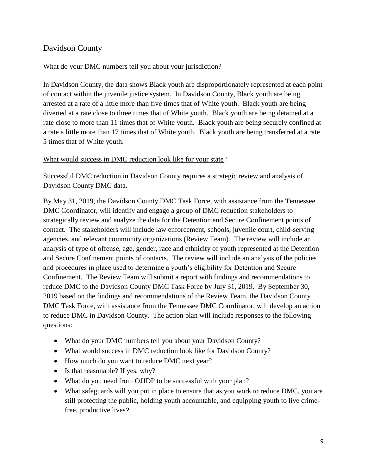# Davidson County

# What do your DMC numbers tell you about your jurisdiction?

 5 times that of White youth. In Davidson County, the data shows Black youth are disproportionately represented at each point of contact within the juvenile justice system. In Davidson County, Black youth are being arrested at a rate of a little more than five times that of White youth. Black youth are being diverted at a rate close to three times that of White youth. Black youth are being detained at a rate close to more than 11 times that of White youth. Black youth are being securely confined at a rate a little more than 17 times that of White youth. Black youth are being transferred at a rate

#### What would success in DMC reduction look like for your state?

Successful DMC reduction in Davidson County requires a strategic review and analysis of Davidson County DMC data.

 strategically review and analyze the data for the Detention and Secure Confinement points of analysis of type of offense, age, gender, race and ethnicity of youth represented at the Detention By May 31, 2019, the Davidson County DMC Task Force, with assistance from the Tennessee DMC Coordinator, will identify and engage a group of DMC reduction stakeholders to contact. The stakeholders will include law enforcement, schools, juvenile court, child-serving agencies, and relevant community organizations (Review Team). The review will include an and Secure Confinement points of contacts. The review will include an analysis of the policies and procedures in place used to determine a youth's eligibility for Detention and Secure Confinement. The Review Team will submit a report with findings and recommendations to reduce DMC to the Davidson County DMC Task Force by July 31, 2019. By September 30, 2019 based on the findings and recommendations of the Review Team, the Davidson County DMC Task Force, with assistance from the Tennessee DMC Coordinator, will develop an action to reduce DMC in Davidson County. The action plan will include responses to the following questions:

- What do your DMC numbers tell you about your Davidson County?
- What would success in DMC reduction look like for Davidson County?
- How much do you want to reduce DMC next year?
- Is that reasonable? If yes, why?
- What do you need from OJJDP to be successful with your plan?
- What safeguards will you put in place to ensure that as you work to reduce DMC, you are still protecting the public, holding youth accountable, and equipping youth to live crimefree, productive lives?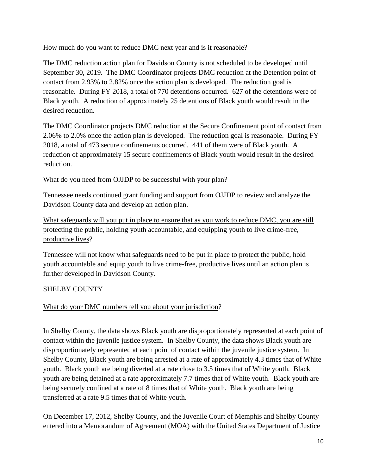#### How much do you want to reduce DMC next year and is it reasonable?

 reasonable. During FY 2018, a total of 770 detentions occurred. 627 of the detentions were of The DMC reduction action plan for Davidson County is not scheduled to be developed until September 30, 2019. The DMC Coordinator projects DMC reduction at the Detention point of contact from 2.93% to 2.82% once the action plan is developed. The reduction goal is Black youth. A reduction of approximately 25 detentions of Black youth would result in the desired reduction.

 2018, a total of 473 secure confinements occurred. 441 of them were of Black youth. A reduction of approximately 15 secure confinements of Black youth would result in the desired The DMC Coordinator projects DMC reduction at the Secure Confinement point of contact from 2.06% to 2.0% once the action plan is developed. The reduction goal is reasonable. During FY reduction.

#### What do you need from OJJDP to be successful with your plan?

Davidson County data and develop an action plan. Tennessee needs continued grant funding and support from OJJDP to review and analyze the

What safeguards will you put in place to ensure that as you work to reduce DMC, you are still protecting the public, holding youth accountable, and equipping youth to live crime-free, productive lives?

Tennessee will not know what safeguards need to be put in place to protect the public, hold youth accountable and equip youth to live crime-free, productive lives until an action plan is further developed in Davidson County.

# SHELBY COUNTY

# What do your DMC numbers tell you about your jurisdiction?

 transferred at a rate 9.5 times that of White youth. In Shelby County, the data shows Black youth are disproportionately represented at each point of contact within the juvenile justice system. In Shelby County, the data shows Black youth are disproportionately represented at each point of contact within the juvenile justice system. In Shelby County, Black youth are being arrested at a rate of approximately 4.3 times that of White youth. Black youth are being diverted at a rate close to 3.5 times that of White youth. Black youth are being detained at a rate approximately 7.7 times that of White youth. Black youth are being securely confined at a rate of 8 times that of White youth. Black youth are being

On December 17, 2012, Shelby County, and the Juvenile Court of Memphis and Shelby County entered into a Memorandum of Agreement (MOA) with the United States Department of Justice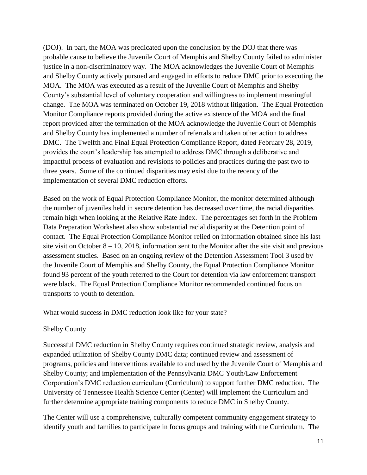MOA. The MOA was executed as a result of the Juvenile Court of Memphis and Shelby change. The MOA was terminated on October 19, 2018 without litigation. The Equal Protection (DOJ). In part, the MOA was predicated upon the conclusion by the DOJ that there was probable cause to believe the Juvenile Court of Memphis and Shelby County failed to administer justice in a non-discriminatory way. The MOA acknowledges the Juvenile Court of Memphis and Shelby County actively pursued and engaged in efforts to reduce DMC prior to executing the County's substantial level of voluntary cooperation and willingness to implement meaningful Monitor Compliance reports provided during the active existence of the MOA and the final report provided after the termination of the MOA acknowledge the Juvenile Court of Memphis and Shelby County has implemented a number of referrals and taken other action to address DMC. The Twelfth and Final Equal Protection Compliance Report, dated February 28, 2019, provides the court's leadership has attempted to address DMC through a deliberative and impactful process of evaluation and revisions to policies and practices during the past two to three years. Some of the continued disparities may exist due to the recency of the implementation of several DMC reduction efforts.

 remain high when looking at the Relative Rate Index. The percentages set forth in the Problem contact. The Equal Protection Compliance Monitor relied on information obtained since his last assessment studies. Based on an ongoing review of the Detention Assessment Tool 3 used by Based on the work of Equal Protection Compliance Monitor, the monitor determined although the number of juveniles held in secure detention has decreased over time, the racial disparities Data Preparation Worksheet also show substantial racial disparity at the Detention point of site visit on October 8 – 10, 2018, information sent to the Monitor after the site visit and previous the Juvenile Court of Memphis and Shelby County, the Equal Protection Compliance Monitor found 93 percent of the youth referred to the Court for detention via law enforcement transport were black. The Equal Protection Compliance Monitor recommended continued focus on transports to youth to detention.

# What would success in DMC reduction look like for your state?

# Shelby County

 Corporation's DMC reduction curriculum (Curriculum) to support further DMC reduction. The further determine appropriate training components to reduce DMC in Shelby County. Successful DMC reduction in Shelby County requires continued strategic review, analysis and expanded utilization of Shelby County DMC data; continued review and assessment of programs, policies and interventions available to and used by the Juvenile Court of Memphis and Shelby County; and implementation of the Pennsylvania DMC Youth/Law Enforcement University of Tennessee Health Science Center (Center) will implement the Curriculum and

The Center will use a comprehensive, culturally competent community engagement strategy to identify youth and families to participate in focus groups and training with the Curriculum. The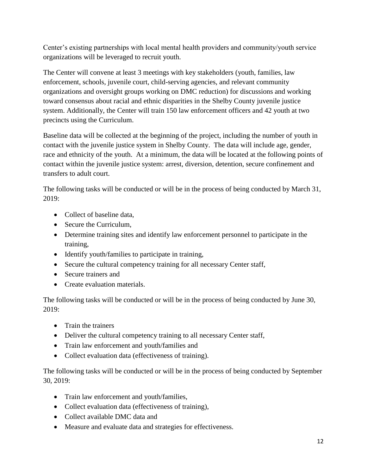Center's existing partnerships with local mental health providers and community/youth service organizations will be leveraged to recruit youth.

The Center will convene at least 3 meetings with key stakeholders (youth, families, law enforcement, schools, juvenile court, child-serving agencies, and relevant community organizations and oversight groups working on DMC reduction) for discussions and working toward consensus about racial and ethnic disparities in the Shelby County juvenile justice system. Additionally, the Center will train 150 law enforcement officers and 42 youth at two precincts using the Curriculum.

 race and ethnicity of the youth. At a minimum, the data will be located at the following points of transfers to adult court. Baseline data will be collected at the beginning of the project, including the number of youth in contact with the juvenile justice system in Shelby County. The data will include age, gender, contact within the juvenile justice system: arrest, diversion, detention, secure confinement and

The following tasks will be conducted or will be in the process of being conducted by March 31, 2019:

- Collect of baseline data,
- Secure the Curriculum,
- Determine training sites and identify law enforcement personnel to participate in the training,
- Identify youth/families to participate in training,
- Secure the cultural competency training for all necessary Center staff,
- Secure trainers and
- Create evaluation materials.

The following tasks will be conducted or will be in the process of being conducted by June 30, 2019:

- Train the trainers
- Deliver the cultural competency training to all necessary Center staff,
- Train law enforcement and youth/families and
- Collect evaluation data (effectiveness of training).

The following tasks will be conducted or will be in the process of being conducted by September 30, 2019:

- Train law enforcement and youth/families,
- Collect evaluation data (effectiveness of training),
- Collect available DMC data and
- Measure and evaluate data and strategies for effectiveness.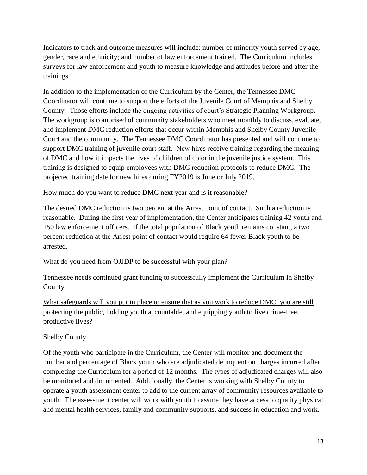surveys for law enforcement and youth to measure knowledge and attitudes before and after the Indicators to track and outcome measures will include: number of minority youth served by age, gender, race and ethnicity; and number of law enforcement trained. The Curriculum includes trainings.

 Court and the community. The Tennessee DMC Coordinator has presented and will continue to training is designed to equip employees with DMC reduction protocols to reduce DMC. The In addition to the implementation of the Curriculum by the Center, the Tennessee DMC Coordinator will continue to support the efforts of the Juvenile Court of Memphis and Shelby County. Those efforts include the ongoing activities of court's Strategic Planning Workgroup. The workgroup is comprised of community stakeholders who meet monthly to discuss, evaluate, and implement DMC reduction efforts that occur within Memphis and Shelby County Juvenile support DMC training of juvenile court staff. New hires receive training regarding the meaning of DMC and how it impacts the lives of children of color in the juvenile justice system. This projected training date for new hires during FY2019 is June or July 2019.

#### How much do you want to reduce DMC next year and is it reasonable?

The desired DMC reduction is two percent at the Arrest point of contact. Such a reduction is reasonable. During the first year of implementation, the Center anticipates training 42 youth and 150 law enforcement officers. If the total population of Black youth remains constant, a two percent reduction at the Arrest point of contact would require 64 fewer Black youth to be arrested.

# What do you need from OJJDP to be successful with your plan?

 Tennessee needs continued grant funding to successfully implement the Curriculum in Shelby County.

What safeguards will you put in place to ensure that as you work to reduce DMC, you are still protecting the public, holding youth accountable, and equipping youth to live crime-free, productive lives?

# Shelby County

 completing the Curriculum for a period of 12 months. The types of adjudicated charges will also and mental health services, family and community supports, and success in education and work. Of the youth who participate in the Curriculum, the Center will monitor and document the number and percentage of Black youth who are adjudicated delinquent on charges incurred after be monitored and documented. Additionally, the Center is working with Shelby County to operate a youth assessment center to add to the current array of community resources available to youth. The assessment center will work with youth to assure they have access to quality physical